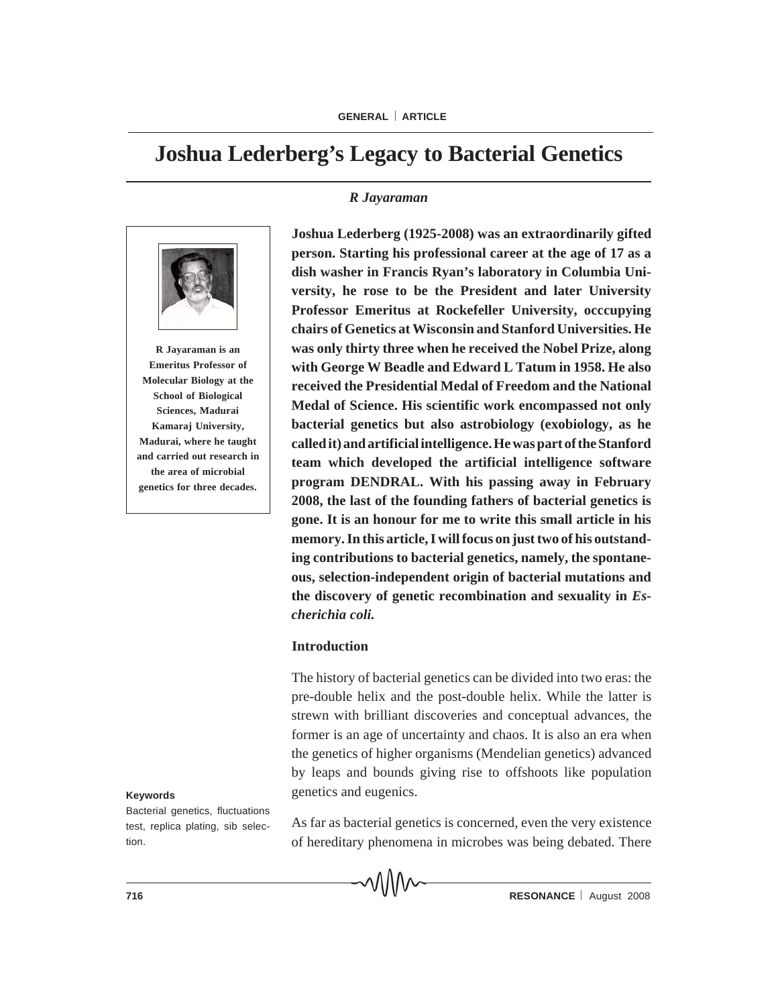## **Joshua Lederberg's Legacy to Bacterial Genetics**

# *R Jayaraman*



**R Jayaraman is an Emeritus Professor of Molecular Biology at the School of Biological Sciences, Madurai Kamaraj University, Madurai, where he taught and carried out research in the area of microbial genetics for three decades.**

**Keywords**

Bacterial genetics, fluctuations test, replica plating, sib selection.

**Joshua Lederberg (1925-2008) was an extraordinarily gifted person. Starting his professional career at the age of 17 as a dish washer in Francis Ryan's laboratory in Columbia University, he rose to be the President and later University Professor Emeritus at Rockefeller University, occcupying chairs of Genetics at Wisconsin and Stanford Universities. He was only thirty three when he received the Nobel Prize, along with George W Beadle and Edward L Tatum in 1958. He also received the Presidential Medal of Freedom and the National Medal of Science. His scientific work encompassed not only bacterial genetics but also astrobiology (exobiology, as he called it) and artificial intelligence. He was part of the Stanford team which developed the artificial intelligence software program DENDRAL. With his passing away in February 2008, the last of the founding fathers of bacterial genetics is gone. It is an honour for me to write this small article in his memory. In this article, I will focus on just two of his outstanding contributions to bacterial genetics, namely, the spontaneous, selection-independent origin of bacterial mutations and the discovery of genetic recombination and sexuality in** *Escherichia coli.*

#### **Introduction**

The history of bacterial genetics can be divided into two eras: the pre-double helix and the post-double helix. While the latter is strewn with brilliant discoveries and conceptual advances, the former is an age of uncertainty and chaos. It is also an era when the genetics of higher organisms (Mendelian genetics) advanced by leaps and bounds giving rise to offshoots like population genetics and eugenics.

As far as bacterial genetics is concerned, even the very existence of hereditary phenomena in microbes was being debated. There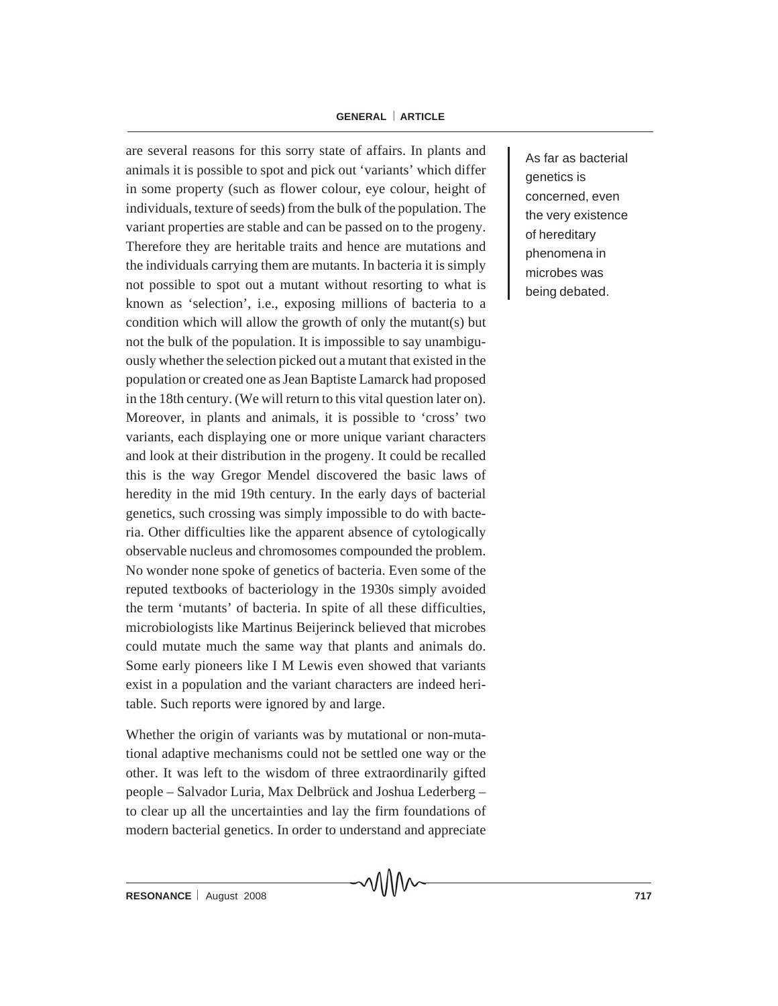are several reasons for this sorry state of affairs. In plants and animals it is possible to spot and pick out 'variants' which differ in some property (such as flower colour, eye colour, height of individuals, texture of seeds) from the bulk of the population. The variant properties are stable and can be passed on to the progeny. Therefore they are heritable traits and hence are mutations and the individuals carrying them are mutants. In bacteria it is simply not possible to spot out a mutant without resorting to what is known as 'selection', i.e., exposing millions of bacteria to a condition which will allow the growth of only the mutant(s) but not the bulk of the population. It is impossible to say unambiguously whether the selection picked out a mutant that existed in the population or created one as Jean Baptiste Lamarck had proposed in the 18th century. (We will return to this vital question later on). Moreover, in plants and animals, it is possible to 'cross' two variants, each displaying one or more unique variant characters and look at their distribution in the progeny. It could be recalled this is the way Gregor Mendel discovered the basic laws of heredity in the mid 19th century. In the early days of bacterial genetics, such crossing was simply impossible to do with bacteria. Other difficulties like the apparent absence of cytologically observable nucleus and chromosomes compounded the problem. No wonder none spoke of genetics of bacteria. Even some of the reputed textbooks of bacteriology in the 1930s simply avoided the term 'mutants' of bacteria. In spite of all these difficulties, microbiologists like Martinus Beijerinck believed that microbes could mutate much the same way that plants and animals do. Some early pioneers like I M Lewis even showed that variants exist in a population and the variant characters are indeed heritable. Such reports were ignored by and large.

Whether the origin of variants was by mutational or non-mutational adaptive mechanisms could not be settled one way or the other. It was left to the wisdom of three extraordinarily gifted people – Salvador Luria, Max Delbrück and Joshua Lederberg – to clear up all the uncertainties and lay the firm foundations of modern bacterial genetics. In order to understand and appreciate

As far as bacterial genetics is concerned, even the very existence of hereditary phenomena in microbes was being debated.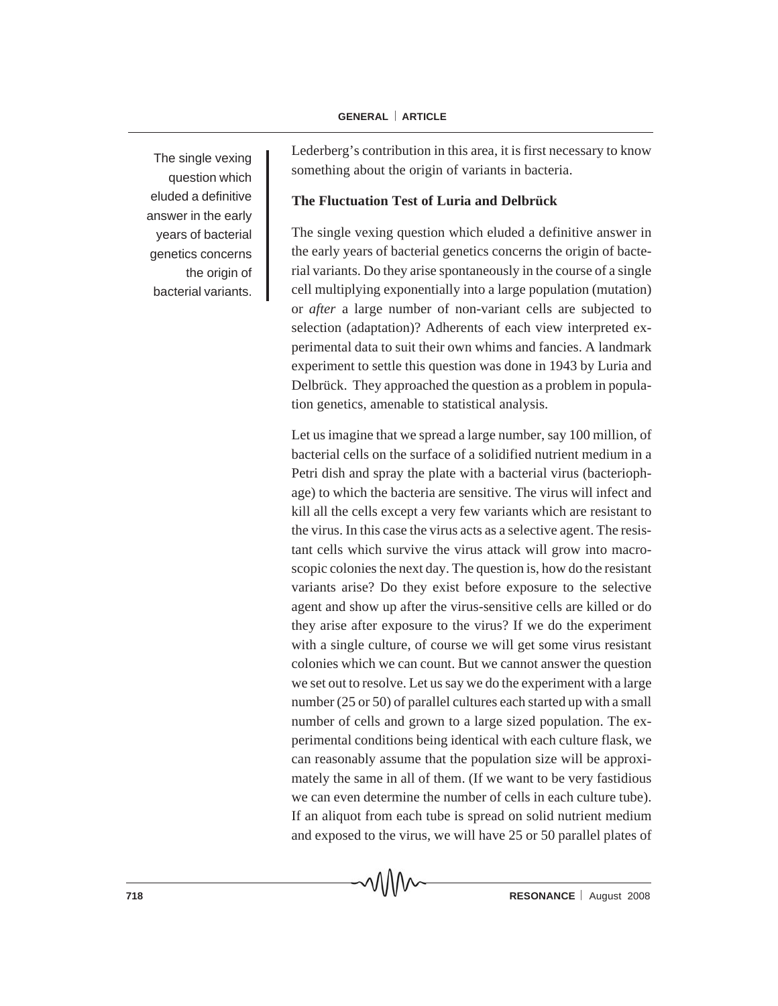The single vexing question which eluded a definitive answer in the early years of bacterial genetics concerns the origin of bacterial variants. Lederberg's contribution in this area, it is first necessary to know something about the origin of variants in bacteria.

#### **The Fluctuation Test of Luria and Delbrück**

The single vexing question which eluded a definitive answer in the early years of bacterial genetics concerns the origin of bacterial variants. Do they arise spontaneously in the course of a single cell multiplying exponentially into a large population (mutation) or *after* a large number of non-variant cells are subjected to selection (adaptation)? Adherents of each view interpreted experimental data to suit their own whims and fancies. A landmark experiment to settle this question was done in 1943 by Luria and Delbrück. They approached the question as a problem in population genetics, amenable to statistical analysis.

Let us imagine that we spread a large number, say 100 million, of bacterial cells on the surface of a solidified nutrient medium in a Petri dish and spray the plate with a bacterial virus (bacteriophage) to which the bacteria are sensitive. The virus will infect and kill all the cells except a very few variants which are resistant to the virus. In this case the virus acts as a selective agent. The resistant cells which survive the virus attack will grow into macroscopic colonies the next day. The question is, how do the resistant variants arise? Do they exist before exposure to the selective agent and show up after the virus-sensitive cells are killed or do they arise after exposure to the virus? If we do the experiment with a single culture, of course we will get some virus resistant colonies which we can count. But we cannot answer the question we set out to resolve. Let us say we do the experiment with a large number (25 or 50) of parallel cultures each started up with a small number of cells and grown to a large sized population. The experimental conditions being identical with each culture flask, we can reasonably assume that the population size will be approximately the same in all of them. (If we want to be very fastidious we can even determine the number of cells in each culture tube). If an aliquot from each tube is spread on solid nutrient medium and exposed to the virus, we will have 25 or 50 parallel plates of

MM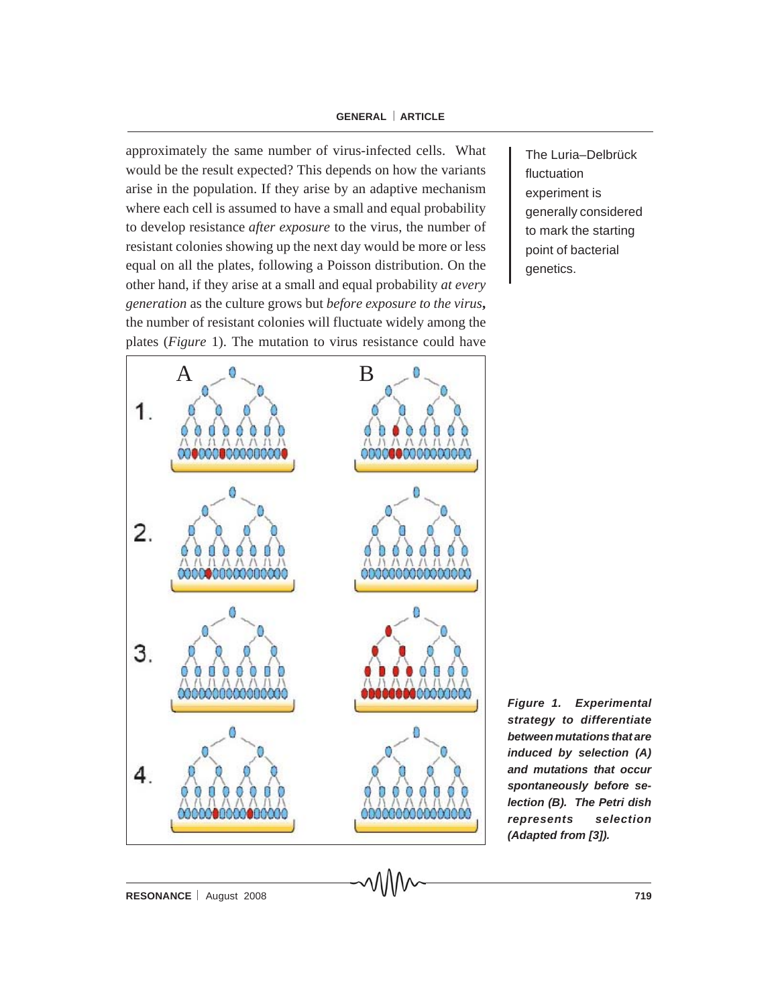approximately the same number of virus-infected cells. What would be the result expected? This depends on how the variants arise in the population. If they arise by an adaptive mechanism where each cell is assumed to have a small and equal probability to develop resistance *after exposure* to the virus, the number of resistant colonies showing up the next day would be more or less equal on all the plates, following a Poisson distribution. On the other hand, if they arise at a small and equal probability *at every generation* as the culture grows but *before exposure to the virus***,** the number of resistant colonies will fluctuate widely among the plates (*Figure* 1). The mutation to virus resistance could have



The Luria–Delbrück fluctuation experiment is generally considered to mark the starting point of bacterial genetics.

*Figure 1. Experimental strategy to differentiate between mutations that are induced by selection (A) and mutations that occur spontaneously before selection (B). The Petri dish represents selection (Adapted from [3]).*

**RESONANCE** August 2008 **719**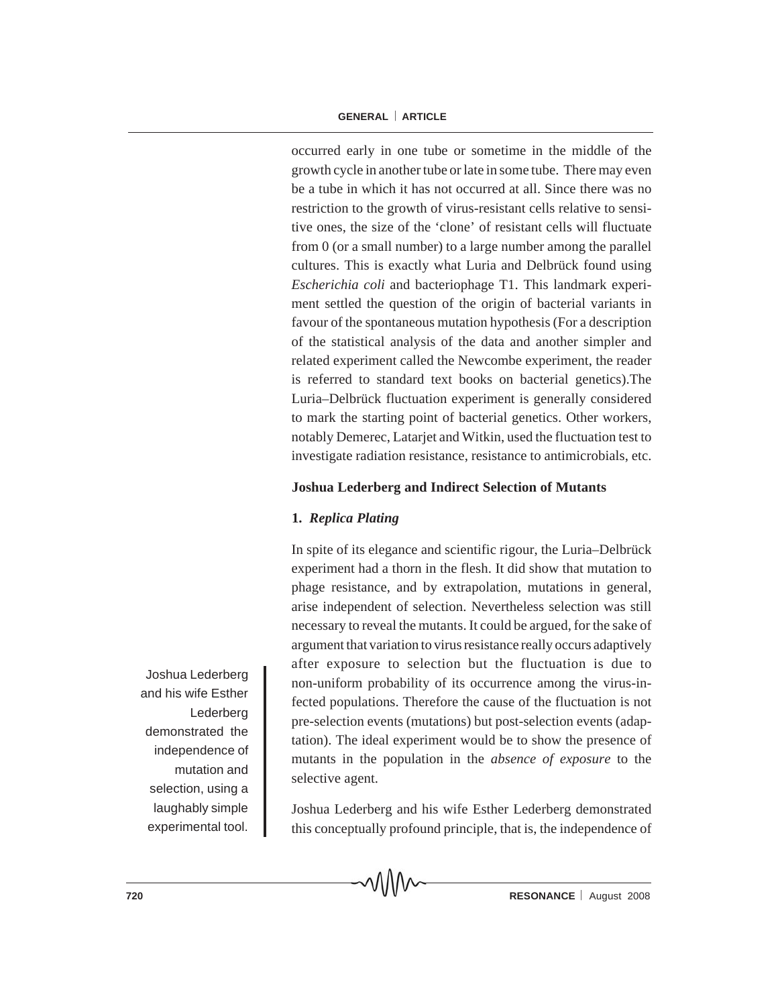occurred early in one tube or sometime in the middle of the growth cycle in another tube or late in some tube. There may even be a tube in which it has not occurred at all. Since there was no restriction to the growth of virus-resistant cells relative to sensitive ones, the size of the 'clone' of resistant cells will fluctuate from 0 (or a small number) to a large number among the parallel cultures. This is exactly what Luria and Delbrück found using *Escherichia coli* and bacteriophage T1. This landmark experiment settled the question of the origin of bacterial variants in favour of the spontaneous mutation hypothesis (For a description of the statistical analysis of the data and another simpler and related experiment called the Newcombe experiment, the reader is referred to standard text books on bacterial genetics).The Luria–Delbrück fluctuation experiment is generally considered to mark the starting point of bacterial genetics. Other workers, notably Demerec, Latarjet and Witkin, used the fluctuation test to investigate radiation resistance, resistance to antimicrobials, etc.

#### **Joshua Lederberg and Indirect Selection of Mutants**

#### **1.** *Replica Plating*

In spite of its elegance and scientific rigour, the Luria–Delbrück experiment had a thorn in the flesh. It did show that mutation to phage resistance, and by extrapolation, mutations in general, arise independent of selection. Nevertheless selection was still necessary to reveal the mutants. It could be argued, for the sake of argument that variation to virus resistance really occurs adaptively after exposure to selection but the fluctuation is due to non-uniform probability of its occurrence among the virus-infected populations. Therefore the cause of the fluctuation is not pre-selection events (mutations) but post-selection events (adaptation). The ideal experiment would be to show the presence of mutants in the population in the *absence of exposure* to the selective agent.

Joshua Lederberg and his wife Esther Lederberg demonstrated this conceptually profound principle, that is, the independence of

MAN

Joshua Lederberg and his wife Esther Lederberg demonstrated the independence of mutation and selection, using a laughably simple experimental tool.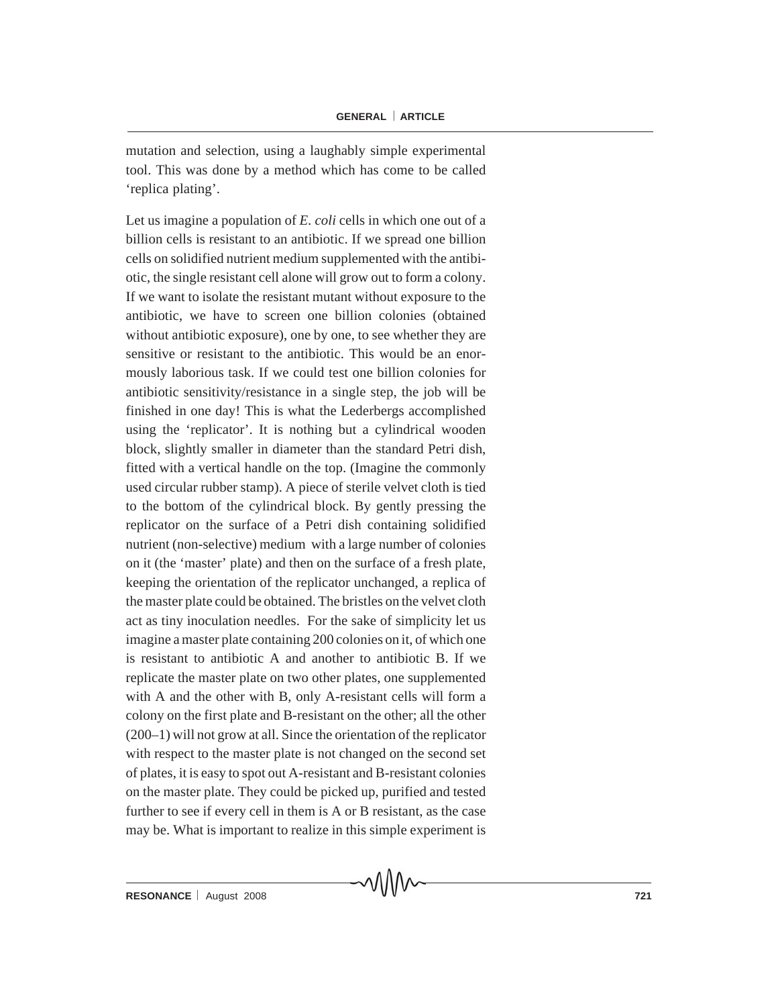mutation and selection, using a laughably simple experimental tool. This was done by a method which has come to be called 'replica plating'.

Let us imagine a population of *E. coli* cells in which one out of a billion cells is resistant to an antibiotic. If we spread one billion cells on solidified nutrient medium supplemented with the antibiotic, the single resistant cell alone will grow out to form a colony. If we want to isolate the resistant mutant without exposure to the antibiotic, we have to screen one billion colonies (obtained without antibiotic exposure), one by one, to see whether they are sensitive or resistant to the antibiotic. This would be an enormously laborious task. If we could test one billion colonies for antibiotic sensitivity/resistance in a single step, the job will be finished in one day! This is what the Lederbergs accomplished using the 'replicator'. It is nothing but a cylindrical wooden block, slightly smaller in diameter than the standard Petri dish, fitted with a vertical handle on the top. (Imagine the commonly used circular rubber stamp). A piece of sterile velvet cloth is tied to the bottom of the cylindrical block. By gently pressing the replicator on the surface of a Petri dish containing solidified nutrient (non-selective) medium with a large number of colonies on it (the 'master' plate) and then on the surface of a fresh plate, keeping the orientation of the replicator unchanged, a replica of the master plate could be obtained. The bristles on the velvet cloth act as tiny inoculation needles. For the sake of simplicity let us imagine a master plate containing 200 colonies on it, of which one is resistant to antibiotic A and another to antibiotic B. If we replicate the master plate on two other plates, one supplemented with A and the other with B, only A-resistant cells will form a colony on the first plate and B-resistant on the other; all the other (200–1) will not grow at all. Since the orientation of the replicator with respect to the master plate is not changed on the second set of plates, it is easy to spot out A-resistant and B-resistant colonies on the master plate. They could be picked up, purified and tested further to see if every cell in them is A or B resistant, as the case may be. What is important to realize in this simple experiment is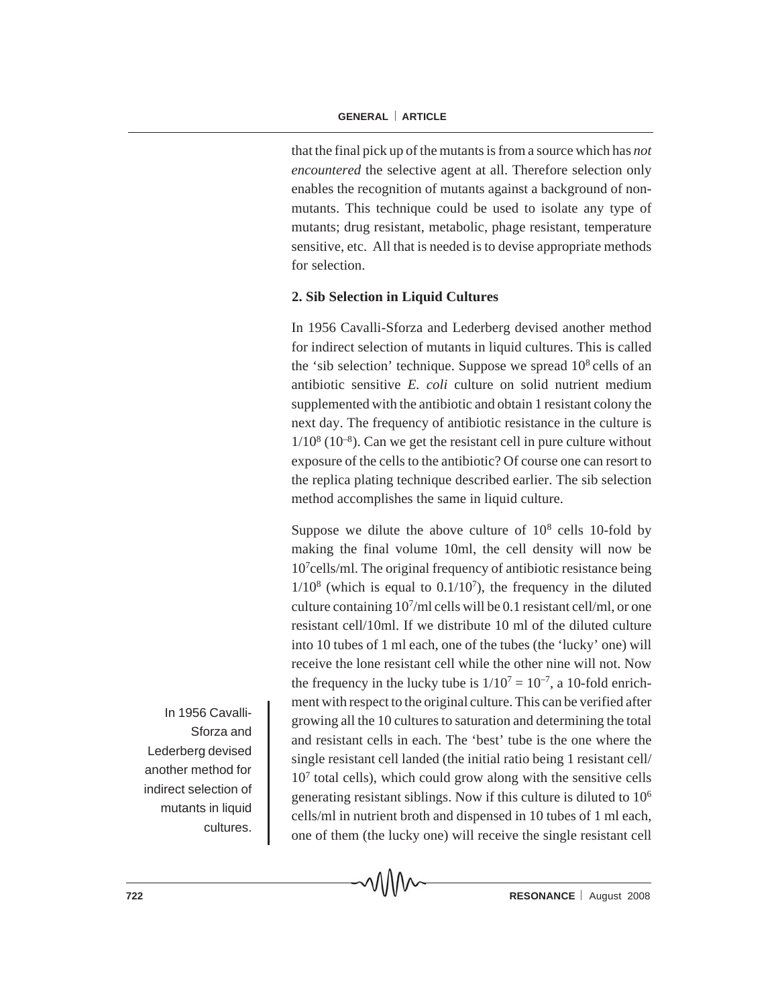that the final pick up of the mutants is from a source which has *not encountered* the selective agent at all. Therefore selection only enables the recognition of mutants against a background of nonmutants. This technique could be used to isolate any type of mutants; drug resistant, metabolic, phage resistant, temperature sensitive, etc. All that is needed is to devise appropriate methods for selection.

#### **2. Sib Selection in Liquid Cultures**

In 1956 Cavalli-Sforza and Lederberg devised another method for indirect selection of mutants in liquid cultures. This is called the 'sib selection' technique. Suppose we spread  $10^8$  cells of an antibiotic sensitive *E. coli* culture on solid nutrient medium supplemented with the antibiotic and obtain 1 resistant colony the next day. The frequency of antibiotic resistance in the culture is  $1/10<sup>8</sup>$  (10<sup>-8</sup>). Can we get the resistant cell in pure culture without exposure of the cells to the antibiotic? Of course one can resort to the replica plating technique described earlier. The sib selection method accomplishes the same in liquid culture.

Suppose we dilute the above culture of  $10<sup>8</sup>$  cells 10-fold by making the final volume 10ml, the cell density will now be 107 cells/ml. The original frequency of antibiotic resistance being  $1/10<sup>8</sup>$  (which is equal to  $0.1/10<sup>7</sup>$ ), the frequency in the diluted culture containing 107 /ml cells will be 0.1 resistant cell/ml, or one resistant cell/10ml. If we distribute 10 ml of the diluted culture into 10 tubes of 1 ml each, one of the tubes (the 'lucky' one) will receive the lone resistant cell while the other nine will not. Now the frequency in the lucky tube is  $1/10^7 = 10^{-7}$ , a 10-fold enrichment with respect to the original culture. This can be verified after growing all the 10 cultures to saturation and determining the total and resistant cells in each. The 'best' tube is the one where the single resistant cell landed (the initial ratio being 1 resistant cell/  $10<sup>7</sup>$  total cells), which could grow along with the sensitive cells generating resistant siblings. Now if this culture is diluted to 106 cells/ml in nutrient broth and dispensed in 10 tubes of 1 ml each, one of them (the lucky one) will receive the single resistant cell

In 1956 Cavalli-Sforza and Lederberg devised another method for indirect selection of mutants in liquid cultures.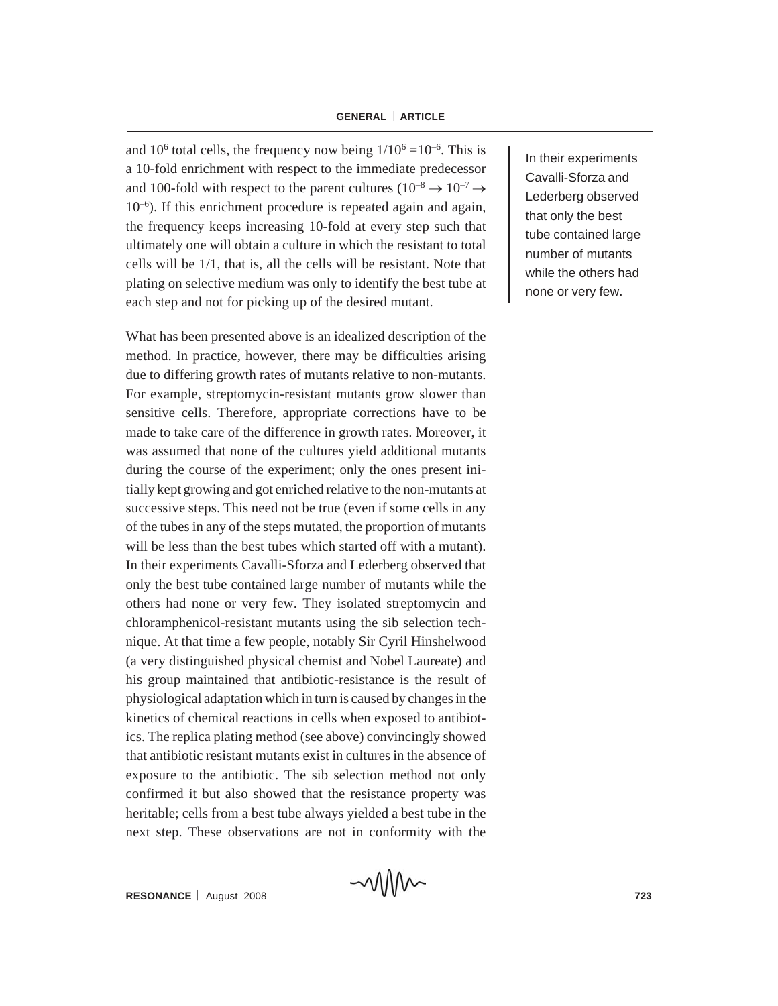and  $10^6$  total cells, the frequency now being  $1/10^6 = 10^{-6}$ . This is a 10-fold enrichment with respect to the immediate predecessor and 100-fold with respect to the parent cultures  $(10^{-8} \rightarrow 10^{-7} \rightarrow$  $10^{-6}$ ). If this enrichment procedure is repeated again and again, the frequency keeps increasing 10-fold at every step such that ultimately one will obtain a culture in which the resistant to total cells will be 1/1, that is, all the cells will be resistant. Note that plating on selective medium was only to identify the best tube at each step and not for picking up of the desired mutant.

What has been presented above is an idealized description of the method. In practice, however, there may be difficulties arising due to differing growth rates of mutants relative to non-mutants. For example, streptomycin-resistant mutants grow slower than sensitive cells. Therefore, appropriate corrections have to be made to take care of the difference in growth rates. Moreover, it was assumed that none of the cultures yield additional mutants during the course of the experiment; only the ones present initially kept growing and got enriched relative to the non-mutants at successive steps. This need not be true (even if some cells in any of the tubes in any of the steps mutated, the proportion of mutants will be less than the best tubes which started off with a mutant). In their experiments Cavalli-Sforza and Lederberg observed that only the best tube contained large number of mutants while the others had none or very few. They isolated streptomycin and chloramphenicol-resistant mutants using the sib selection technique. At that time a few people, notably Sir Cyril Hinshelwood (a very distinguished physical chemist and Nobel Laureate) and his group maintained that antibiotic-resistance is the result of physiological adaptation which in turn is caused by changes in the kinetics of chemical reactions in cells when exposed to antibiotics. The replica plating method (see above) convincingly showed that antibiotic resistant mutants exist in cultures in the absence of exposure to the antibiotic. The sib selection method not only confirmed it but also showed that the resistance property was heritable; cells from a best tube always yielded a best tube in the next step. These observations are not in conformity with the

In their experiments Cavalli-Sforza and Lederberg observed that only the best tube contained large number of mutants while the others had none or very few.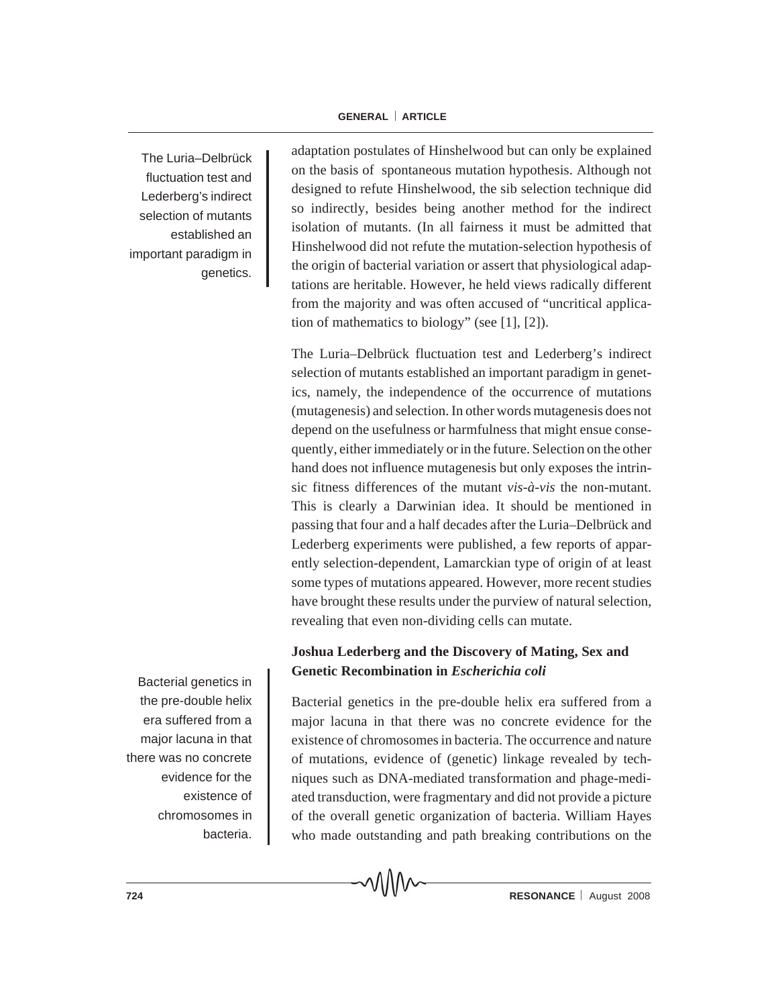The Luria–Delbrück fluctuation test and Lederberg's indirect selection of mutants established an important paradigm in genetics.

adaptation postulates of Hinshelwood but can only be explained on the basis of spontaneous mutation hypothesis. Although not designed to refute Hinshelwood, the sib selection technique did so indirectly, besides being another method for the indirect isolation of mutants. (In all fairness it must be admitted that Hinshelwood did not refute the mutation-selection hypothesis of the origin of bacterial variation or assert that physiological adaptations are heritable. However, he held views radically different from the majority and was often accused of "uncritical application of mathematics to biology" (see [1], [2]).

The Luria–Delbrück fluctuation test and Lederberg's indirect selection of mutants established an important paradigm in genetics, namely, the independence of the occurrence of mutations (mutagenesis) and selection. In other words mutagenesis does not depend on the usefulness or harmfulness that might ensue consequently, either immediately or in the future. Selection on the other hand does not influence mutagenesis but only exposes the intrinsic fitness differences of the mutant *vis-à-vis* the non-mutant. This is clearly a Darwinian idea. It should be mentioned in passing that four and a half decades after the Luria–Delbrück and Lederberg experiments were published, a few reports of apparently selection-dependent, Lamarckian type of origin of at least some types of mutations appeared. However, more recent studies have brought these results under the purview of natural selection, revealing that even non-dividing cells can mutate.

## **Joshua Lederberg and the Discovery of Mating, Sex and Genetic Recombination in** *Escherichia coli*

Bacterial genetics in the pre-double helix era suffered from a major lacuna in that there was no concrete evidence for the existence of chromosomes in bacteria. The occurrence and nature of mutations, evidence of (genetic) linkage revealed by techniques such as DNA-mediated transformation and phage-mediated transduction, were fragmentary and did not provide a picture of the overall genetic organization of bacteria. William Hayes who made outstanding and path breaking contributions on the

Bacterial genetics in the pre-double helix era suffered from a major lacuna in that there was no concrete evidence for the existence of chromosomes in bacteria.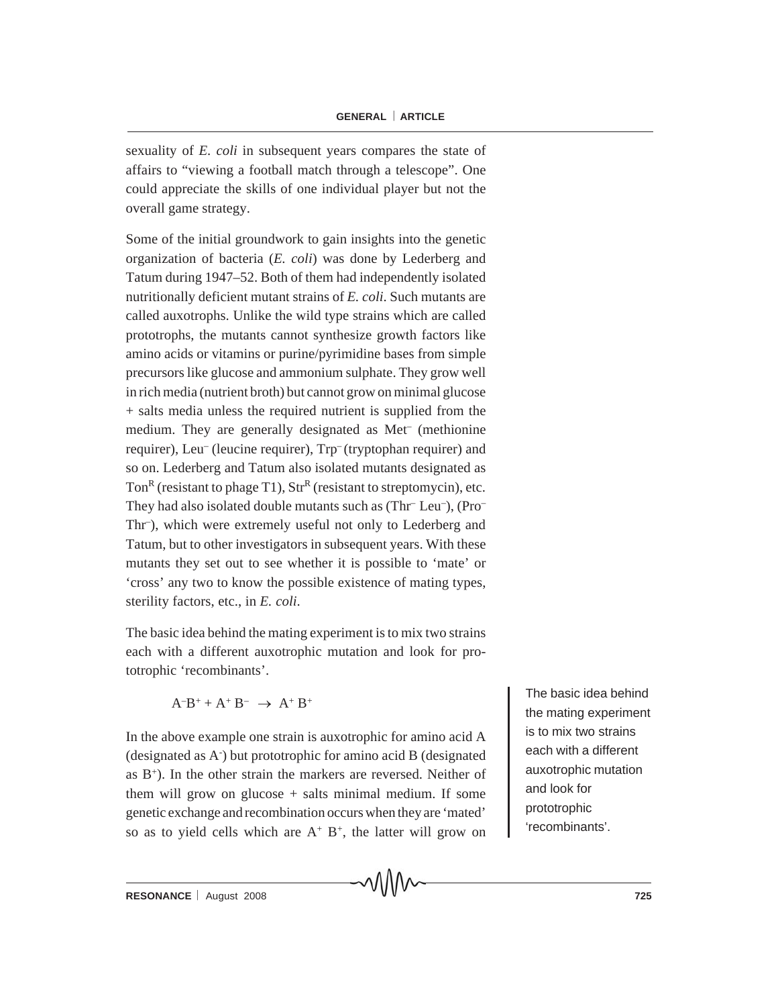sexuality of *E. coli* in subsequent years compares the state of affairs to "viewing a football match through a telescope". One could appreciate the skills of one individual player but not the overall game strategy.

Some of the initial groundwork to gain insights into the genetic organization of bacteria (*E. coli*) was done by Lederberg and Tatum during 1947–52. Both of them had independently isolated nutritionally deficient mutant strains of *E. coli*. Such mutants are called auxotrophs. Unlike the wild type strains which are called prototrophs, the mutants cannot synthesize growth factors like amino acids or vitamins or purine/pyrimidine bases from simple precursors like glucose and ammonium sulphate. They grow well in rich media (nutrient broth) but cannot grow on minimal glucose + salts media unless the required nutrient is supplied from the medium. They are generally designated as Met– (methionine requirer), Leu<sup>-</sup> (leucine requirer), Trp<sup>-</sup> (tryptophan requirer) and so on. Lederberg and Tatum also isolated mutants designated as Ton<sup>R</sup> (resistant to phage T1),  $Str^R$  (resistant to streptomycin), etc. They had also isolated double mutants such as (Thr<sup>-</sup> Leu<sup>-</sup>), (Pro– Thr<sup>-</sup>), which were extremely useful not only to Lederberg and Tatum, but to other investigators in subsequent years. With these mutants they set out to see whether it is possible to 'mate' or 'cross' any two to know the possible existence of mating types, sterility factors, etc., in *E. coli*.

The basic idea behind the mating experiment is to mix two strains each with a different auxotrophic mutation and look for prototrophic 'recombinants'.

 $A^{-}B^{+} + A^{+}B^{-} \rightarrow A^{+}B^{+}$ 

In the above example one strain is auxotrophic for amino acid A (designated as A- ) but prototrophic for amino acid B (designated as  $B^+$ ). In the other strain the markers are reversed. Neither of them will grow on glucose  $+$  salts minimal medium. If some genetic exchange and recombination occurs when they are 'mated' so as to yield cells which are  $A^+ B^+$ , the latter will grow on

The basic idea behind the mating experiment is to mix two strains each with a different auxotrophic mutation and look for prototrophic 'recombinants'.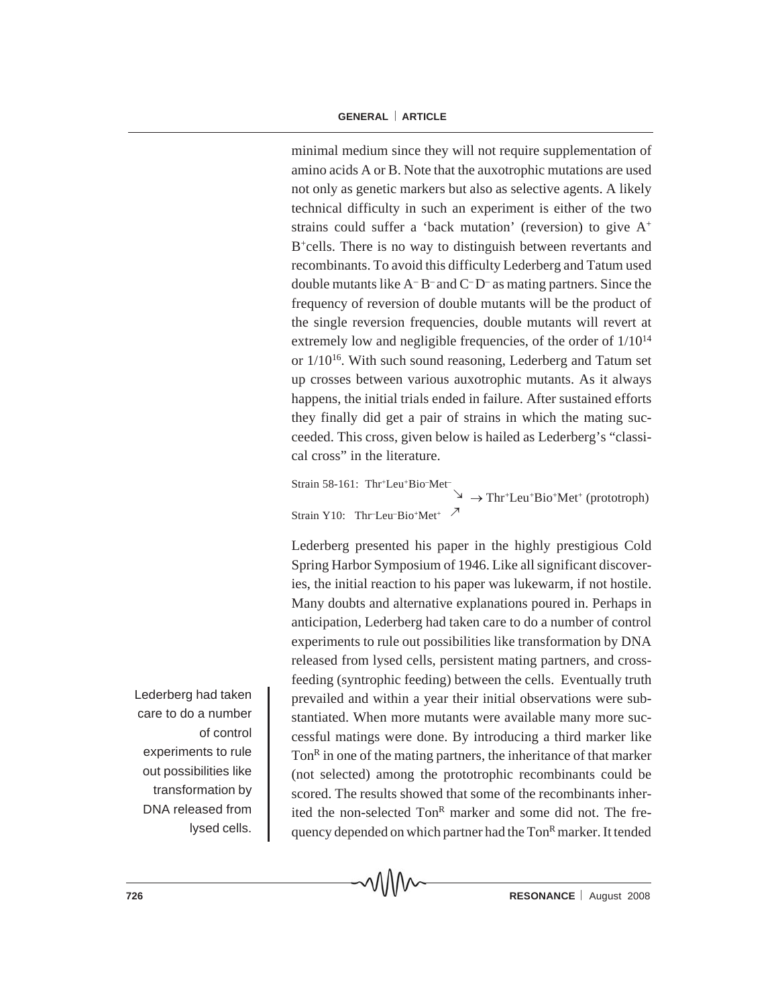minimal medium since they will not require supplementation of amino acids A or B. Note that the auxotrophic mutations are used not only as genetic markers but also as selective agents. A likely technical difficulty in such an experiment is either of the two strains could suffer a 'back mutation' (reversion) to give A+ B<sup>+</sup>cells. There is no way to distinguish between revertants and recombinants. To avoid this difficulty Lederberg and Tatum used double mutants like  $A^-B^-$  and  $C^-D^-$  as mating partners. Since the frequency of reversion of double mutants will be the product of the single reversion frequencies, double mutants will revert at extremely low and negligible frequencies, of the order of 1/1014 or  $1/10^{16}$ . With such sound reasoning, Lederberg and Tatum set up crosses between various auxotrophic mutants. As it always happens, the initial trials ended in failure. After sustained efforts they finally did get a pair of strains in which the mating succeeded. This cross, given below is hailed as Lederberg's "classical cross" in the literature.

Strain 58-161: Thr<sup>+</sup>Leu<sup>+</sup>Bio<sup>-</sup>Met  $\rightarrow$  Thr<sup>+</sup>Leu<sup>+</sup>Bio<sup>+</sup>Met<sup>+</sup> (prototroph) Strain Y10: Thr<sup>-</sup>Leu<sup>-</sup>Bio<sup>+</sup>Met<sup>+</sup> →

Lederberg presented his paper in the highly prestigious Cold Spring Harbor Symposium of 1946. Like all significant discoveries, the initial reaction to his paper was lukewarm, if not hostile. Many doubts and alternative explanations poured in. Perhaps in anticipation, Lederberg had taken care to do a number of control experiments to rule out possibilities like transformation by DNA released from lysed cells, persistent mating partners, and crossfeeding (syntrophic feeding) between the cells. Eventually truth prevailed and within a year their initial observations were substantiated. When more mutants were available many more successful matings were done. By introducing a third marker like  $\text{Tor}^R$  in one of the mating partners, the inheritance of that marker (not selected) among the prototrophic recombinants could be scored. The results showed that some of the recombinants inherited the non-selected  $T \circ R^R$  marker and some did not. The frequency depended on which partner had the Ton<sup>R</sup> marker. It tended

៱៱៲៸៴

Lederberg had taken care to do a number of control experiments to rule out possibilities like transformation by DNA released from lysed cells.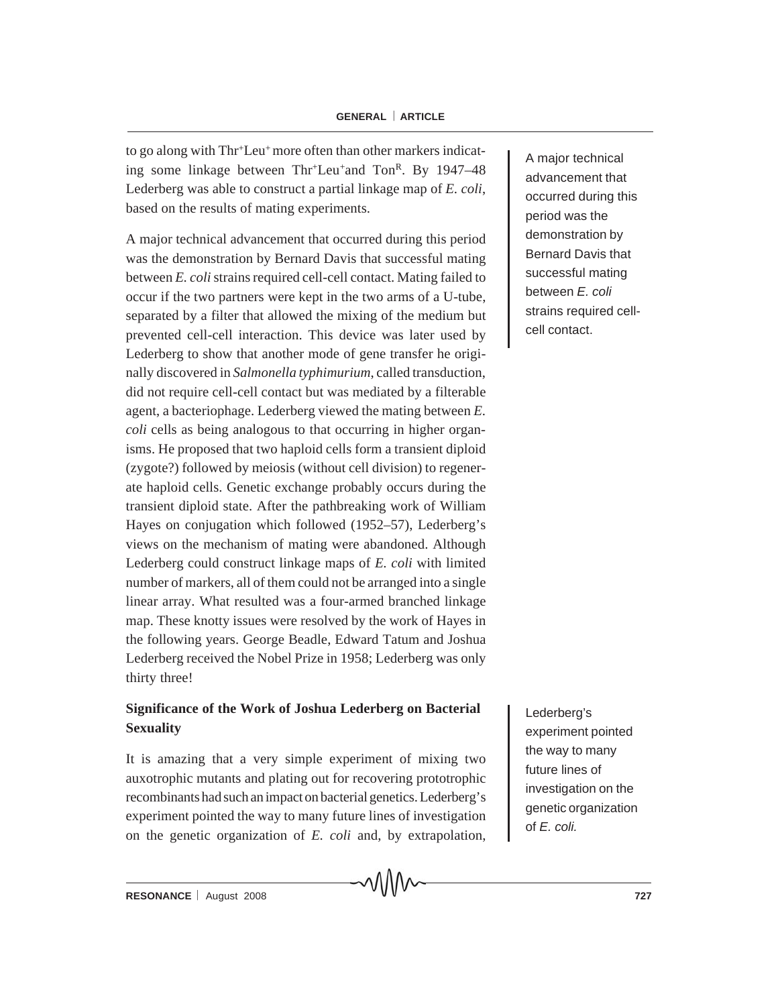to go along with Thr+Leu+ more often than other markers indicating some linkage between  $Thr^+Leu^+$ and  $Tan^R$ . By 1947–48 Lederberg was able to construct a partial linkage map of *E. coli*, based on the results of mating experiments.

A major technical advancement that occurred during this period was the demonstration by Bernard Davis that successful mating between *E. coli* strains required cell-cell contact. Mating failed to occur if the two partners were kept in the two arms of a U-tube, separated by a filter that allowed the mixing of the medium but prevented cell-cell interaction. This device was later used by Lederberg to show that another mode of gene transfer he originally discovered in *Salmonella typhimurium*, called transduction, did not require cell-cell contact but was mediated by a filterable agent, a bacteriophage. Lederberg viewed the mating between *E. coli* cells as being analogous to that occurring in higher organisms. He proposed that two haploid cells form a transient diploid (zygote?) followed by meiosis (without cell division) to regenerate haploid cells. Genetic exchange probably occurs during the transient diploid state. After the pathbreaking work of William Hayes on conjugation which followed (1952–57), Lederberg's views on the mechanism of mating were abandoned. Although Lederberg could construct linkage maps of *E. coli* with limited number of markers, all of them could not be arranged into a single linear array. What resulted was a four-armed branched linkage map. These knotty issues were resolved by the work of Hayes in the following years. George Beadle, Edward Tatum and Joshua Lederberg received the Nobel Prize in 1958; Lederberg was only thirty three!

## **Significance of the Work of Joshua Lederberg on Bacterial Sexuality**

It is amazing that a very simple experiment of mixing two auxotrophic mutants and plating out for recovering prototrophic recombinants had such an impact on bacterial genetics. Lederberg's experiment pointed the way to many future lines of investigation on the genetic organization of *E. coli* and, by extrapolation, A major technical advancement that occurred during this period was the demonstration by Bernard Davis that successful mating between *E. coli* strains required cellcell contact.

Lederberg's experiment pointed the way to many future lines of investigation on the genetic organization of *E. coli.*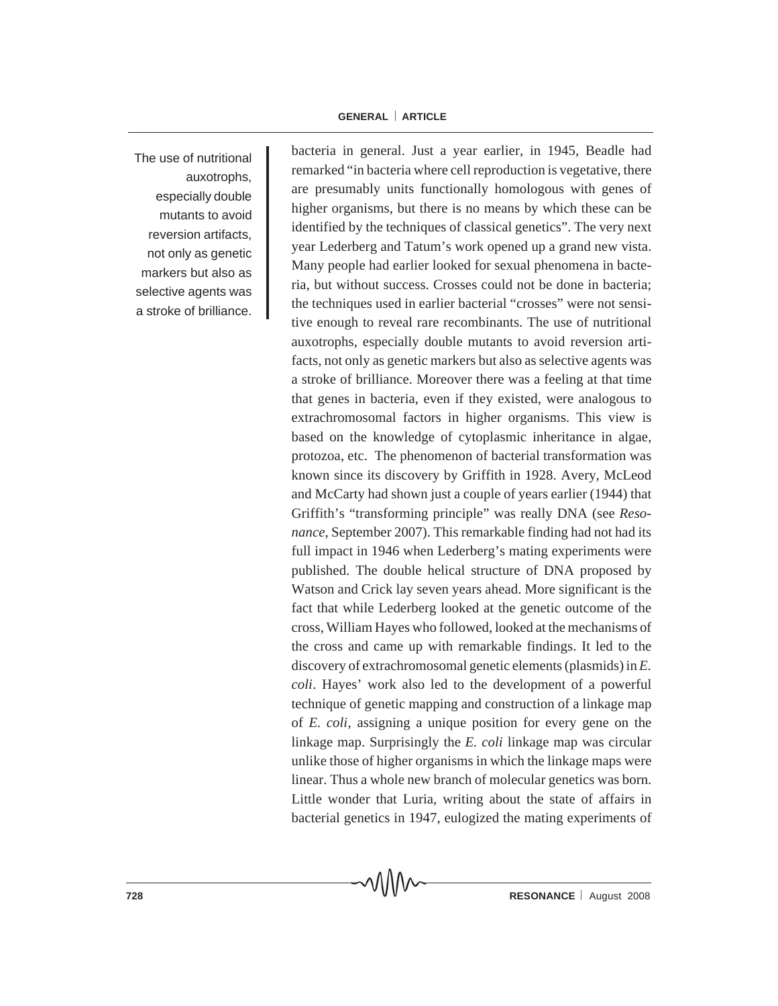MM

The use of nutritional auxotrophs, especially double mutants to avoid reversion artifacts, not only as genetic markers but also as selective agents was a stroke of brilliance. bacteria in general. Just a year earlier, in 1945, Beadle had remarked "in bacteria where cell reproduction is vegetative, there are presumably units functionally homologous with genes of higher organisms, but there is no means by which these can be identified by the techniques of classical genetics". The very next year Lederberg and Tatum's work opened up a grand new vista. Many people had earlier looked for sexual phenomena in bacteria, but without success. Crosses could not be done in bacteria; the techniques used in earlier bacterial "crosses" were not sensitive enough to reveal rare recombinants. The use of nutritional auxotrophs, especially double mutants to avoid reversion artifacts, not only as genetic markers but also as selective agents was a stroke of brilliance. Moreover there was a feeling at that time that genes in bacteria, even if they existed, were analogous to extrachromosomal factors in higher organisms. This view is based on the knowledge of cytoplasmic inheritance in algae, protozoa, etc. The phenomenon of bacterial transformation was known since its discovery by Griffith in 1928. Avery, McLeod and McCarty had shown just a couple of years earlier (1944) that Griffith's "transforming principle" was really DNA (see *Resonance*, September 2007). This remarkable finding had not had its full impact in 1946 when Lederberg's mating experiments were published. The double helical structure of DNA proposed by Watson and Crick lay seven years ahead. More significant is the fact that while Lederberg looked at the genetic outcome of the cross, William Hayes who followed, looked at the mechanisms of the cross and came up with remarkable findings. It led to the discovery of extrachromosomal genetic elements (plasmids) in *E. coli*. Hayes' work also led to the development of a powerful technique of genetic mapping and construction of a linkage map of *E. coli*, assigning a unique position for every gene on the linkage map. Surprisingly the *E. coli* linkage map was circular unlike those of higher organisms in which the linkage maps were linear. Thus a whole new branch of molecular genetics was born. Little wonder that Luria, writing about the state of affairs in bacterial genetics in 1947, eulogized the mating experiments of